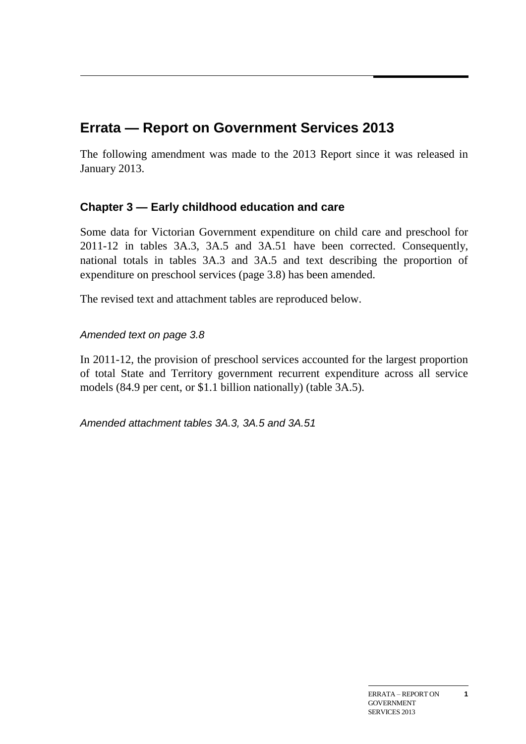# **Errata — Report on Government Services 2013**

The following amendment was made to the 2013 Report since it was released in January 2013.

## **Chapter 3 — Early childhood education and care**

Some data for Victorian Government expenditure on child care and preschool for 2011-12 in tables 3A.3, 3A.5 and 3A.51 have been corrected. Consequently, national totals in tables 3A.3 and 3A.5 and text describing the proportion of expenditure on preschool services (page 3.8) has been amended.

The revised text and attachment tables are reproduced below.

## *Amended text on page 3.8*

In 2011-12, the provision of preschool services accounted for the largest proportion of total State and Territory government recurrent expenditure across all service models (84.9 per cent, or \$1.1 billion nationally) (table 3A.5).

*Amended attachment tables 3A.3, 3A.5 and 3A.51*

**1**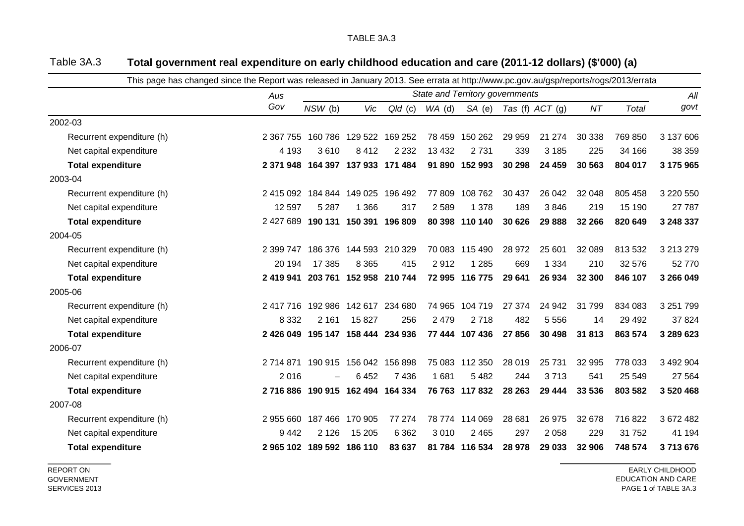| This page has changed since the Report was released in January 2013. See errata at http://www.pc.gov.au/gsp/reports/rogs/2013/errata |                                   |                                 |                         |           |          |                |        |                   |        |              |           |
|--------------------------------------------------------------------------------------------------------------------------------------|-----------------------------------|---------------------------------|-------------------------|-----------|----------|----------------|--------|-------------------|--------|--------------|-----------|
|                                                                                                                                      | Aus                               | State and Territory governments |                         |           |          |                |        |                   |        |              |           |
|                                                                                                                                      | Gov                               | $NSW$ (b)                       | Vic                     | $Q/d$ (c) | $WA$ (d) | SA(e)          |        | Tas (f) $ACT$ (g) | NT     | <b>Total</b> | govt      |
| 2002-03                                                                                                                              |                                   |                                 |                         |           |          |                |        |                   |        |              |           |
| Recurrent expenditure (h)                                                                                                            | 2 367 755                         |                                 | 160 786 129 522 169 252 |           | 78 459   | 150 262        | 29 959 | 21 274            | 30 338 | 769 850      | 3 137 606 |
| Net capital expenditure                                                                                                              | 4 1 9 3                           | 3610                            | 8412                    | 2 2 3 2   | 13 4 32  | 2731           | 339    | 3 1 8 5           | 225    | 34 166       | 38 359    |
| <b>Total expenditure</b>                                                                                                             | 2 371 948                         |                                 | 164 397 137 933 171 484 |           |          | 91 890 152 993 | 30 298 | 24 459            | 30 563 | 804 017      | 3 175 965 |
| 2003-04                                                                                                                              |                                   |                                 |                         |           |          |                |        |                   |        |              |           |
| Recurrent expenditure (h)                                                                                                            | 2 415 092                         |                                 | 184 844 149 025         | 196 492   | 77 809   | 108 762        | 30 437 | 26 042            | 32 048 | 805 458      | 3 220 550 |
| Net capital expenditure                                                                                                              | 12 5 9 7                          | 5 2 8 7                         | 1 3 6 6                 | 317       | 2 5 8 9  | 1 3 7 8        | 189    | 3846              | 219    | 15 190       | 27 787    |
| <b>Total expenditure</b>                                                                                                             | 2 427 689                         |                                 | 190 131 150 391 196 809 |           |          | 80 398 110 140 | 30 626 | 29 8 88           | 32 266 | 820 649      | 3 248 337 |
| 2004-05                                                                                                                              |                                   |                                 |                         |           |          |                |        |                   |        |              |           |
| Recurrent expenditure (h)                                                                                                            | 2 399 747                         |                                 | 186 376 144 593 210 329 |           |          | 70 083 115 490 | 28 972 | 25 601            | 32 089 | 813 532      | 3 213 279 |
| Net capital expenditure                                                                                                              | 20 194                            | 17 385                          | 8 3 6 5                 | 415       | 2912     | 1 2 8 5        | 669    | 1 3 3 4           | 210    | 32 576       | 52 770    |
| <b>Total expenditure</b>                                                                                                             | 2 419 941                         |                                 | 203 761 152 958 210 744 |           |          | 72 995 116 775 | 29 641 | 26 934            | 32 300 | 846 107      | 3 266 049 |
| 2005-06                                                                                                                              |                                   |                                 |                         |           |          |                |        |                   |        |              |           |
| Recurrent expenditure (h)                                                                                                            | 2 417 716 192 986 142 617 234 680 |                                 |                         |           |          | 74 965 104 719 | 27 374 | 24 942            | 31799  | 834 083      | 3 251 799 |
| Net capital expenditure                                                                                                              | 8 3 3 2                           | 2 1 6 1                         | 15 8 27                 | 256       | 2 4 7 9  | 2718           | 482    | 5 5 5 6           | 14     | 29 4 9 2     | 37 824    |
| <b>Total expenditure</b>                                                                                                             | 2 426 049                         |                                 | 195 147 158 444 234 936 |           |          | 77 444 107 436 | 27 856 | 30 4 98           | 31 813 | 863 574      | 3 289 623 |
| 2006-07                                                                                                                              |                                   |                                 |                         |           |          |                |        |                   |        |              |           |
| Recurrent expenditure (h)                                                                                                            | 2 714 871                         |                                 | 190 915 156 042 156 898 |           |          | 75 083 112 350 | 28 019 | 25 7 31           | 32 995 | 778 033      | 3 492 904 |
| Net capital expenditure                                                                                                              | 2016                              |                                 | 6452                    | 7436      | 1681     | 5482           | 244    | 3713              | 541    | 25 549       | 27 5 64   |
| <b>Total expenditure</b>                                                                                                             | 2 716 886                         |                                 | 190 915 162 494 164 334 |           |          | 76 763 117 832 | 28 263 | 29 4 44           | 33 536 | 803 582      | 3 520 468 |
| 2007-08                                                                                                                              |                                   |                                 |                         |           |          |                |        |                   |        |              |           |
| Recurrent expenditure (h)                                                                                                            | 2 955 660                         |                                 | 187 466 170 905         | 77 274    |          | 78 774 114 069 | 28 681 | 26 975            | 32 678 | 716 822      | 3 672 482 |
| Net capital expenditure                                                                                                              | 9442                              | 2 1 2 6                         | 15 205                  | 6 3 6 2   | 3 0 1 0  | 2 4 6 5        | 297    | 2 0 5 8           | 229    | 31752        | 41 194    |
| <b>Total expenditure</b>                                                                                                             | 2965 102 189 592 186 110          |                                 |                         | 83 637    |          | 81 784 116 534 | 28 978 | 29 033            | 32 906 | 748 574      | 3713676   |

### Table 3A.3 **Total government real expenditure on early childhood education and care (2011-12 dollars) (\$'000) (a)**

REPORT ON GOVERNMENT SERVICES 2013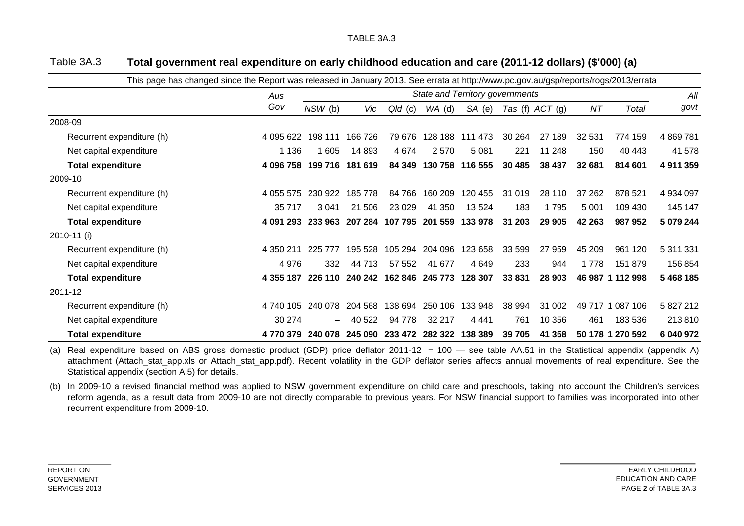| This page has changed since the Report was released in January 2013. See errata at http://www.pc.gov.au/gsp/reports/rogs/2013/errata |           |                                 |                 |           |                 |         |         |                   |         |                  |             |
|--------------------------------------------------------------------------------------------------------------------------------------|-----------|---------------------------------|-----------------|-----------|-----------------|---------|---------|-------------------|---------|------------------|-------------|
|                                                                                                                                      | Aus       | State and Territory governments |                 |           |                 |         |         |                   |         |                  |             |
|                                                                                                                                      | Gov       | $NSW$ (b)                       | Vic             | $Q/d$ (c) | $WA$ (d)        | SA (e)  |         | Tas (f) $ACT$ (g) | ΝT      | Total            | govt        |
| 2008-09                                                                                                                              |           |                                 |                 |           |                 |         |         |                   |         |                  |             |
| Recurrent expenditure (h)                                                                                                            | 4 095 622 | 198 111                         | 166 726         | 79 676    | 128 188         | 111 473 | 30 264  | 27 189            | 32 531  | 774 159          | 4 8 69 7 81 |
| Net capital expenditure                                                                                                              | 1 1 3 6   | 1 605                           | 14 893          | 4 6 7 4   | 2 5 7 0         | 5081    | 221     | 11 248            | 150     | 40 443           | 41 578      |
| <b>Total expenditure</b>                                                                                                             | 4 096 758 | 199 716                         | 181 619         | 84 349    | 130 758         | 116 555 | 30 4 85 | 38 437            | 32 681  | 814 601          | 4 911 359   |
| 2009-10                                                                                                                              |           |                                 |                 |           |                 |         |         |                   |         |                  |             |
| Recurrent expenditure (h)                                                                                                            | 4 055 575 | 230 922                         | 185 778         | 84 766    | 160 209         | 120 455 | 31 019  | 28 110            | 37 262  | 878 521          | 4 934 097   |
| Net capital expenditure                                                                                                              | 35 717    | 3 0 4 1                         | 21 506          | 23 0 29   | 41 350          | 13 5 24 | 183     | 1795              | 5 0 0 1 | 109 430          | 145 147     |
| <b>Total expenditure</b>                                                                                                             | 4 091 293 |                                 | 233 963 207 284 |           | 107 795 201 559 | 133 978 | 31 203  | 29 905            | 42 263  | 987 952          | 5 079 244   |
| 2010-11 (i)                                                                                                                          |           |                                 |                 |           |                 |         |         |                   |         |                  |             |
| Recurrent expenditure (h)                                                                                                            | 4 350 211 | 225<br>777                      | 195 528         | 105 294   | 204 096         | 123 658 | 33 599  | 27 959            | 45 209  | 961 120          | 5 311 331   |
| Net capital expenditure                                                                                                              | 4 9 7 6   | 332                             | 44 713          | 57 552    | 41 677          | 4 6 4 9 | 233     | 944               | 1778    | 151 879          | 156 854     |
| <b>Total expenditure</b>                                                                                                             | 4 355 187 | 226 110                         | 240 242         | 162 846   | 245 773         | 128 307 | 33 831  | 28 903            |         | 46 987 1 112 998 | 5 468 185   |
| 2011-12                                                                                                                              |           |                                 |                 |           |                 |         |         |                   |         |                  |             |
| Recurrent expenditure (h)                                                                                                            | 4 740 105 | 240 078                         | 204 568         | 138 694   | 250 106         | 133 948 | 38 994  | 31 002            | 49 717  | 087 106          | 5 827 212   |
| Net capital expenditure                                                                                                              | 30 274    |                                 | 40 522          | 94 778    | 32 217          | 4 4 4 1 | 761     | 10 356            | 461     | 183 536          | 213 810     |
| <b>Total expenditure</b>                                                                                                             | 4 770 379 | 240 078                         | 245 090         | 233 472   | 282 322         | 138 389 | 39 705  | 41 358            |         | 50 178 1 270 592 | 6 040 972   |

#### Table 3A.3 **Total government real expenditure on early childhood education and care (2011-12 dollars) (\$'000) (a)**

(a) Real expenditure based on ABS gross domestic product (GDP) price deflator 2011-12 = 100 — see table AA.51 in the Statistical appendix (appendix A) attachment (Attach stat app.xls or Attach stat app.pdf). Recent volatility in the GDP deflator series affects annual movements of real expenditure. See the Statistical appendix (section A.5) for details.

(b) In 2009-10 a revised financial method was applied to NSW government expenditure on child care and preschools, taking into account the Children's services reform agenda, as a result data from 2009-10 are not directly comparable to previous years. For NSW financial support to families was incorporated into other recurrent expenditure from 2009-10.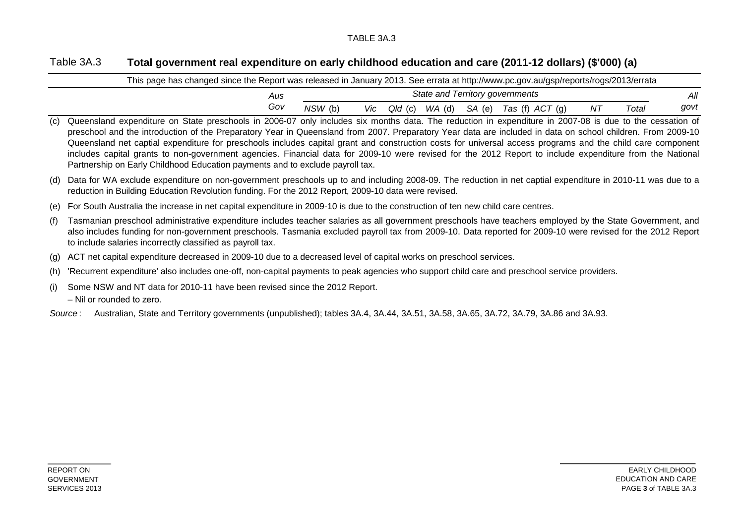### TABLE 3A.3

#### Table 3A.3 **Total government real expenditure on early childhood education and care (2011-12 dollars) (\$'000) (a)**

| This page has changed since the Report was released in January 2013. See errata at http://www.pc.gov.au/gsp/reports/rogs/2013/errata                                                                                                                                                                                                                                                                                                                                                                                                                                                                                                                                                                                                  |     |         |                                 |             |  |  |                                     |    |       |      |  |  |
|---------------------------------------------------------------------------------------------------------------------------------------------------------------------------------------------------------------------------------------------------------------------------------------------------------------------------------------------------------------------------------------------------------------------------------------------------------------------------------------------------------------------------------------------------------------------------------------------------------------------------------------------------------------------------------------------------------------------------------------|-----|---------|---------------------------------|-------------|--|--|-------------------------------------|----|-------|------|--|--|
|                                                                                                                                                                                                                                                                                                                                                                                                                                                                                                                                                                                                                                                                                                                                       | Aus |         | State and Territory governments |             |  |  |                                     |    |       |      |  |  |
|                                                                                                                                                                                                                                                                                                                                                                                                                                                                                                                                                                                                                                                                                                                                       | Gov | NSW (b) |                                 | Vic Qld (c) |  |  | $WA$ (d) $SA$ (e) Tas (f) $ACT$ (g) | ΝT | Total | govt |  |  |
| (c) Queensland expenditure on State preschools in 2006-07 only includes six months data. The reduction in expenditure in 2007-08 is due to the cessation of<br>preschool and the introduction of the Preparatory Year in Queensland from 2007. Preparatory Year data are included in data on school children. From 2009-10<br>Queensland net captial expenditure for preschools includes capital grant and construction costs for universal access programs and the child care component<br>includes capital grants to non-government agencies. Financial data for 2009-10 were revised for the 2012 Report to include expenditure from the National<br>Partnership on Early Childhood Education payments and to exclude payroll tax. |     |         |                                 |             |  |  |                                     |    |       |      |  |  |
| (d) Data for WA exclude expenditure on non-government preschools up to and including 2008-09. The reduction in net captial expenditure in 2010-11 was due to a<br>reduction in Building Education Revolution funding. For the 2012 Report, 2009-10 data were revised.                                                                                                                                                                                                                                                                                                                                                                                                                                                                 |     |         |                                 |             |  |  |                                     |    |       |      |  |  |

- (e) For South Australia the increase in net capital expenditure in 2009-10 is due to the construction of ten new child care centres.
- (f) Tasmanian preschool administrative expenditure includes teacher salaries as all government preschools have teachers employed by the State Government, and also includes funding for non-government preschools. Tasmania excluded payroll tax from 2009-10. Data reported for 2009-10 were revised for the 2012 Report to include salaries incorrectly classified as payroll tax.
- (g) ACT net capital expenditure decreased in 2009-10 due to a decreased level of capital works on preschool services.
- (h) 'Recurrent expenditure' also includes one-off, non-capital payments to peak agencies who support child care and preschool service providers.
- (i) Some NSW and NT data for 2010-11 have been revised since the 2012 Report.
	- Nil or rounded to zero.
- *Source* : Australian, State and Territory governments (unpublished); tables 3A.4, 3A.44, 3A.51, 3A.58, 3A.65, 3A.72, 3A.79, 3A.86 and 3A.93.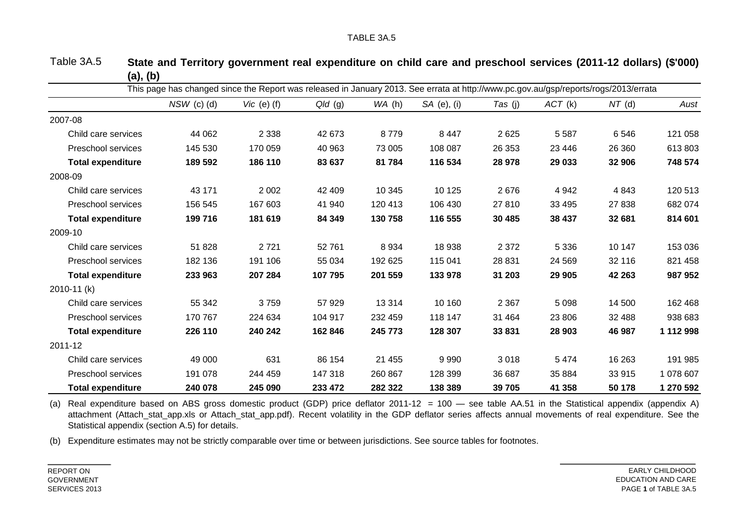| This page has changed since the Report was released in January 2013. See errata at http://www.pc.gov.au/gsp/reports/rogs/2013/errata |               |                 |           |         |             |         |         |          |           |  |  |
|--------------------------------------------------------------------------------------------------------------------------------------|---------------|-----------------|-----------|---------|-------------|---------|---------|----------|-----------|--|--|
|                                                                                                                                      | $NSW$ (c) (d) | Vic $(e)$ $(f)$ | $Q/d$ (g) | WA(h)   | SA (e), (i) | Tas (j) | ACT (k) | $NT$ (d) | Aust      |  |  |
| 2007-08                                                                                                                              |               |                 |           |         |             |         |         |          |           |  |  |
| Child care services                                                                                                                  | 44 062        | 2 3 3 8         | 42 673    | 8779    | 8 4 4 7     | 2625    | 5 5 8 7 | 6546     | 121 058   |  |  |
| Preschool services                                                                                                                   | 145 530       | 170 059         | 40 963    | 73 005  | 108 087     | 26 353  | 23 4 46 | 26 360   | 613803    |  |  |
| <b>Total expenditure</b>                                                                                                             | 189 592       | 186 110         | 83 637    | 81 784  | 116 534     | 28 978  | 29 033  | 32 906   | 748 574   |  |  |
| 2008-09                                                                                                                              |               |                 |           |         |             |         |         |          |           |  |  |
| Child care services                                                                                                                  | 43 171        | 2 0 0 2         | 42 409    | 10 345  | 10 125      | 2676    | 4 9 4 2 | 4843     | 120 513   |  |  |
| Preschool services                                                                                                                   | 156 545       | 167 603         | 41 940    | 120 413 | 106 430     | 27810   | 33 4 95 | 27 838   | 682 074   |  |  |
| <b>Total expenditure</b>                                                                                                             | 199 716       | 181 619         | 84 349    | 130 758 | 116 555     | 30 4 85 | 38 437  | 32 681   | 814 601   |  |  |
| 2009-10                                                                                                                              |               |                 |           |         |             |         |         |          |           |  |  |
| Child care services                                                                                                                  | 51828         | 2721            | 52761     | 8 9 3 4 | 18 938      | 2 3 7 2 | 5 3 3 6 | 10 147   | 153 036   |  |  |
| Preschool services                                                                                                                   | 182 136       | 191 106         | 55 034    | 192 625 | 115 041     | 28 831  | 24 5 69 | 32 116   | 821 458   |  |  |
| <b>Total expenditure</b>                                                                                                             | 233 963       | 207 284         | 107795    | 201 559 | 133 978     | 31 203  | 29 905  | 42 263   | 987952    |  |  |
| $2010 - 11 (k)$                                                                                                                      |               |                 |           |         |             |         |         |          |           |  |  |
| Child care services                                                                                                                  | 55 342        | 3759            | 57929     | 13 3 14 | 10 160      | 2 3 6 7 | 5 0 9 8 | 14 500   | 162 468   |  |  |
| Preschool services                                                                                                                   | 170 767       | 224 634         | 104 917   | 232 459 | 118 147     | 31 4 64 | 23 806  | 32 488   | 938 683   |  |  |
| <b>Total expenditure</b>                                                                                                             | 226 110       | 240 242         | 162 846   | 245 773 | 128 307     | 33831   | 28 903  | 46 987   | 1 112 998 |  |  |
| 2011-12                                                                                                                              |               |                 |           |         |             |         |         |          |           |  |  |
| Child care services                                                                                                                  | 49 000        | 631             | 86 154    | 21 455  | 9990        | 3018    | 5474    | 16 263   | 191 985   |  |  |
| Preschool services                                                                                                                   | 191 078       | 244 459         | 147 318   | 260 867 | 128 399     | 36 687  | 35 884  | 33 915   | 1 078 607 |  |  |
| <b>Total expenditure</b>                                                                                                             | 240 078       | 245 090         | 233 472   | 282 322 | 138 389     | 39 705  | 41 358  | 50 178   | 1 270 592 |  |  |

Table 3A.5 **State and Territory government real expenditure on child care and preschool services (2011-12 dollars) (\$'000) (a), (b)**

(a) Real expenditure based on ABS gross domestic product (GDP) price deflator 2011-12 = 100 — see table AA.51 in the Statistical appendix (appendix A) attachment (Attach stat app.xls or Attach stat app.pdf). Recent volatility in the GDP deflator series affects annual movements of real expenditure. See the Statistical appendix (section A.5) for details.

(b) Expenditure estimates may not be strictly comparable over time or between jurisdictions. See source tables for footnotes.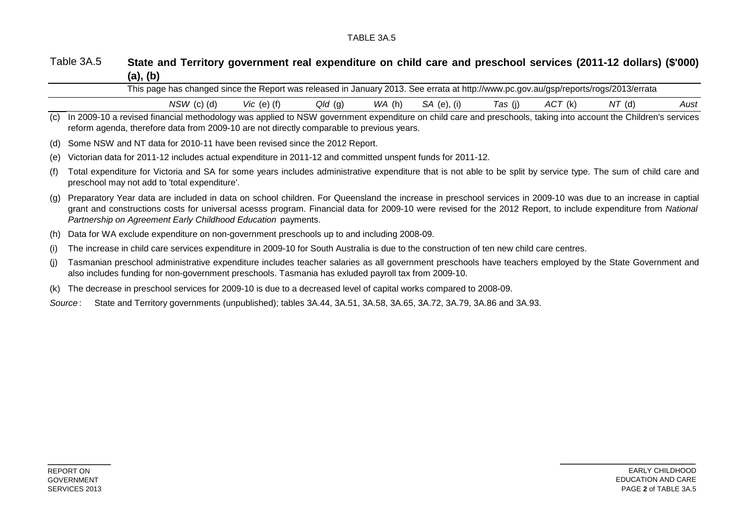### TABLE 3A.5

### Table 3A.5 **State and Territory government real expenditure on child care and preschool services (2011-12 dollars) (\$'000) (a), (b)**

|     | This page has changed since the Report was released in January 2013. See errata at http://www.pc.gov.au/gsp/reports/rogs/2013/errata                                                                                                                                                                                                                                                           |  |  |  |  |  |  |  |  |  |  |
|-----|------------------------------------------------------------------------------------------------------------------------------------------------------------------------------------------------------------------------------------------------------------------------------------------------------------------------------------------------------------------------------------------------|--|--|--|--|--|--|--|--|--|--|
|     | $Qld$ (g)<br>WA(h)<br>SA (e), (i)<br>$NSW$ (c) (d)<br>Vic $(e)$ $(f)$<br>Aust<br>Tas (j)<br>ACT (k)<br>NT (d)                                                                                                                                                                                                                                                                                  |  |  |  |  |  |  |  |  |  |  |
| (C) | In 2009-10 a revised financial methodology was applied to NSW government expenditure on child care and preschools, taking into account the Children's services<br>reform agenda, therefore data from 2009-10 are not directly comparable to previous years.                                                                                                                                    |  |  |  |  |  |  |  |  |  |  |
| (d) | Some NSW and NT data for 2010-11 have been revised since the 2012 Report.                                                                                                                                                                                                                                                                                                                      |  |  |  |  |  |  |  |  |  |  |
| (e) | Victorian data for 2011-12 includes actual expenditure in 2011-12 and committed unspent funds for 2011-12.                                                                                                                                                                                                                                                                                     |  |  |  |  |  |  |  |  |  |  |
| (f) | Total expenditure for Victoria and SA for some years includes administrative expenditure that is not able to be split by service type. The sum of child care and<br>preschool may not add to 'total expenditure'.                                                                                                                                                                              |  |  |  |  |  |  |  |  |  |  |
| (g) | Preparatory Year data are included in data on school children. For Queensland the increase in preschool services in 2009-10 was due to an increase in captial<br>grant and constructions costs for universal acesss program. Financial data for 2009-10 were revised for the 2012 Report, to include expenditure from National<br>Partnership on Agreement Early Childhood Education payments. |  |  |  |  |  |  |  |  |  |  |
| (h) | Data for WA exclude expenditure on non-government preschools up to and including 2008-09.                                                                                                                                                                                                                                                                                                      |  |  |  |  |  |  |  |  |  |  |
| (i) | The increase in child care services expenditure in 2009-10 for South Australia is due to the construction of ten new child care centres.                                                                                                                                                                                                                                                       |  |  |  |  |  |  |  |  |  |  |
| (i) | Tasmanian preschool administrative expenditure includes teacher salaries as all government preschools have teachers employed by the State Government and<br>also includes funding for non-government preschools. Tasmania has exluded payroll tax from 2009-10.                                                                                                                                |  |  |  |  |  |  |  |  |  |  |
| (k) | The decrease in preschool services for 2009-10 is due to a decreased level of capital works compared to 2008-09.                                                                                                                                                                                                                                                                               |  |  |  |  |  |  |  |  |  |  |
|     | State and Territory governments (unpublished); tables 3A.44, 3A.51, 3A.58, 3A.65, 3A.72, 3A.79, 3A.86 and 3A.93.<br>Source:                                                                                                                                                                                                                                                                    |  |  |  |  |  |  |  |  |  |  |